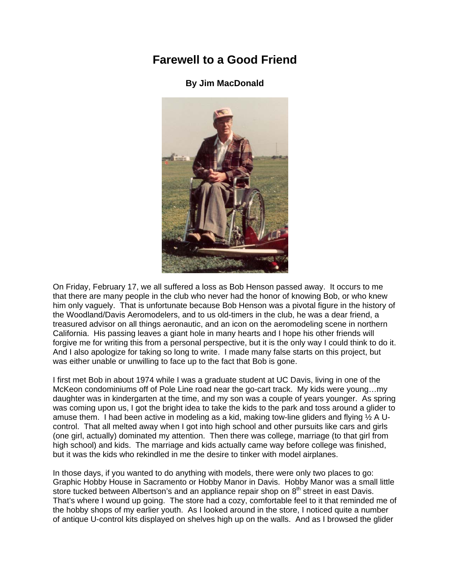## **Farewell to a Good Friend**

## **By Jim MacDonald**



On Friday, February 17, we all suffered a loss as Bob Henson passed away. It occurs to me that there are many people in the club who never had the honor of knowing Bob, or who knew him only vaguely. That is unfortunate because Bob Henson was a pivotal figure in the history of the Woodland/Davis Aeromodelers, and to us old-timers in the club, he was a dear friend, a treasured advisor on all things aeronautic, and an icon on the aeromodeling scene in northern California. His passing leaves a giant hole in many hearts and I hope his other friends will forgive me for writing this from a personal perspective, but it is the only way I could think to do it. And I also apologize for taking so long to write. I made many false starts on this project, but was either unable or unwilling to face up to the fact that Bob is gone.

I first met Bob in about 1974 while I was a graduate student at UC Davis, living in one of the McKeon condominiums off of Pole Line road near the go-cart track. My kids were young…my daughter was in kindergarten at the time, and my son was a couple of years younger. As spring was coming upon us, I got the bright idea to take the kids to the park and toss around a glider to amuse them. I had been active in modeling as a kid, making tow-line gliders and flying  $\frac{1}{2}$  A Ucontrol. That all melted away when I got into high school and other pursuits like cars and girls (one girl, actually) dominated my attention. Then there was college, marriage (to that girl from high school) and kids. The marriage and kids actually came way before college was finished, but it was the kids who rekindled in me the desire to tinker with model airplanes.

In those days, if you wanted to do anything with models, there were only two places to go: Graphic Hobby House in Sacramento or Hobby Manor in Davis. Hobby Manor was a small little store tucked between Albertson's and an appliance repair shop on  $8<sup>th</sup>$  street in east Davis. That's where I wound up going. The store had a cozy, comfortable feel to it that reminded me of the hobby shops of my earlier youth. As I looked around in the store, I noticed quite a number of antique U-control kits displayed on shelves high up on the walls. And as I browsed the glider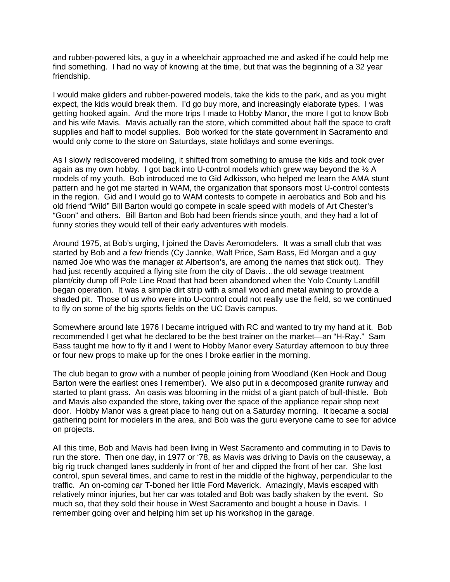and rubber-powered kits, a guy in a wheelchair approached me and asked if he could help me find something. I had no way of knowing at the time, but that was the beginning of a 32 year friendship.

I would make gliders and rubber-powered models, take the kids to the park, and as you might expect, the kids would break them. I'd go buy more, and increasingly elaborate types. I was getting hooked again. And the more trips I made to Hobby Manor, the more I got to know Bob and his wife Mavis. Mavis actually ran the store, which committed about half the space to craft supplies and half to model supplies. Bob worked for the state government in Sacramento and would only come to the store on Saturdays, state holidays and some evenings.

As I slowly rediscovered modeling, it shifted from something to amuse the kids and took over again as my own hobby. I got back into U-control models which grew way beyond the  $\frac{1}{2}$  A models of my youth. Bob introduced me to Gid Adkisson, who helped me learn the AMA stunt pattern and he got me started in WAM, the organization that sponsors most U-control contests in the region. Gid and I would go to WAM contests to compete in aerobatics and Bob and his old friend "Wild" Bill Barton would go compete in scale speed with models of Art Chester's "Goon" and others. Bill Barton and Bob had been friends since youth, and they had a lot of funny stories they would tell of their early adventures with models.

Around 1975, at Bob's urging, I joined the Davis Aeromodelers. It was a small club that was started by Bob and a few friends (Cy Jannke, Walt Price, Sam Bass, Ed Morgan and a guy named Joe who was the manager at Albertson's, are among the names that stick out). They had just recently acquired a flying site from the city of Davis...the old sewage treatment plant/city dump off Pole Line Road that had been abandoned when the Yolo County Landfill began operation. It was a simple dirt strip with a small wood and metal awning to provide a shaded pit. Those of us who were into U-control could not really use the field, so we continued to fly on some of the big sports fields on the UC Davis campus.

Somewhere around late 1976 I became intrigued with RC and wanted to try my hand at it. Bob recommended I get what he declared to be the best trainer on the market—an "H-Ray." Sam Bass taught me how to fly it and I went to Hobby Manor every Saturday afternoon to buy three or four new props to make up for the ones I broke earlier in the morning.

The club began to grow with a number of people joining from Woodland (Ken Hook and Doug Barton were the earliest ones I remember). We also put in a decomposed granite runway and started to plant grass. An oasis was blooming in the midst of a giant patch of bull-thistle. Bob and Mavis also expanded the store, taking over the space of the appliance repair shop next door. Hobby Manor was a great place to hang out on a Saturday morning. It became a social gathering point for modelers in the area, and Bob was the guru everyone came to see for advice on projects.

All this time, Bob and Mavis had been living in West Sacramento and commuting in to Davis to run the store. Then one day, in 1977 or '78, as Mavis was driving to Davis on the causeway, a big rig truck changed lanes suddenly in front of her and clipped the front of her car. She lost control, spun several times, and came to rest in the middle of the highway, perpendicular to the traffic. An on-coming car T-boned her little Ford Maverick. Amazingly, Mavis escaped with relatively minor injuries, but her car was totaled and Bob was badly shaken by the event. So much so, that they sold their house in West Sacramento and bought a house in Davis. I remember going over and helping him set up his workshop in the garage.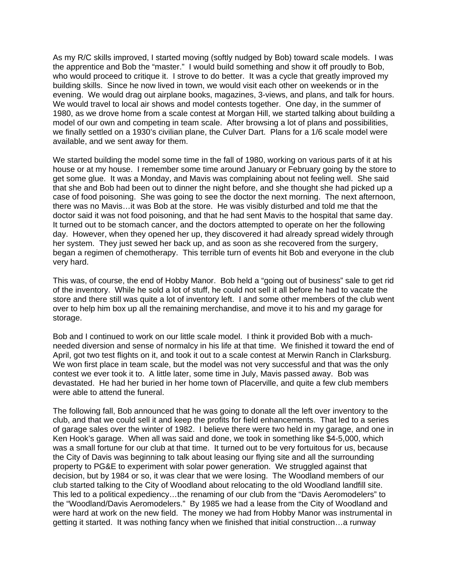As my R/C skills improved, I started moving (softly nudged by Bob) toward scale models. I was the apprentice and Bob the "master." I would build something and show it off proudly to Bob, who would proceed to critique it. I strove to do better. It was a cycle that greatly improved my building skills. Since he now lived in town, we would visit each other on weekends or in the evening. We would drag out airplane books, magazines, 3-views, and plans, and talk for hours. We would travel to local air shows and model contests together. One day, in the summer of 1980, as we drove home from a scale contest at Morgan Hill, we started talking about building a model of our own and competing in team scale. After browsing a lot of plans and possibilities, we finally settled on a 1930's civilian plane, the Culver Dart. Plans for a 1/6 scale model were available, and we sent away for them.

We started building the model some time in the fall of 1980, working on various parts of it at his house or at my house. I remember some time around January or February going by the store to get some glue. It was a Monday, and Mavis was complaining about not feeling well. She said that she and Bob had been out to dinner the night before, and she thought she had picked up a case of food poisoning. She was going to see the doctor the next morning. The next afternoon, there was no Mavis…it was Bob at the store. He was visibly disturbed and told me that the doctor said it was not food poisoning, and that he had sent Mavis to the hospital that same day. It turned out to be stomach cancer, and the doctors attempted to operate on her the following day. However, when they opened her up, they discovered it had already spread widely through her system. They just sewed her back up, and as soon as she recovered from the surgery, began a regimen of chemotherapy. This terrible turn of events hit Bob and everyone in the club very hard.

This was, of course, the end of Hobby Manor. Bob held a "going out of business" sale to get rid of the inventory. While he sold a lot of stuff, he could not sell it all before he had to vacate the store and there still was quite a lot of inventory left. I and some other members of the club went over to help him box up all the remaining merchandise, and move it to his and my garage for storage.

Bob and I continued to work on our little scale model. I think it provided Bob with a muchneeded diversion and sense of normalcy in his life at that time. We finished it toward the end of April, got two test flights on it, and took it out to a scale contest at Merwin Ranch in Clarksburg. We won first place in team scale, but the model was not very successful and that was the only contest we ever took it to. A little later, some time in July, Mavis passed away. Bob was devastated. He had her buried in her home town of Placerville, and quite a few club members were able to attend the funeral.

The following fall, Bob announced that he was going to donate all the left over inventory to the club, and that we could sell it and keep the profits for field enhancements. That led to a series of garage sales over the winter of 1982. I believe there were two held in my garage, and one in Ken Hook's garage. When all was said and done, we took in something like \$4-5,000, which was a small fortune for our club at that time. It turned out to be very fortuitous for us, because the City of Davis was beginning to talk about leasing our flying site and all the surrounding property to PG&E to experiment with solar power generation. We struggled against that decision, but by 1984 or so, it was clear that we were losing. The Woodland members of our club started talking to the City of Woodland about relocating to the old Woodland landfill site. This led to a political expediency…the renaming of our club from the "Davis Aeromodelers" to the "Woodland/Davis Aeromodelers." By 1985 we had a lease from the City of Woodland and were hard at work on the new field. The money we had from Hobby Manor was instrumental in getting it started. It was nothing fancy when we finished that initial construction…a runway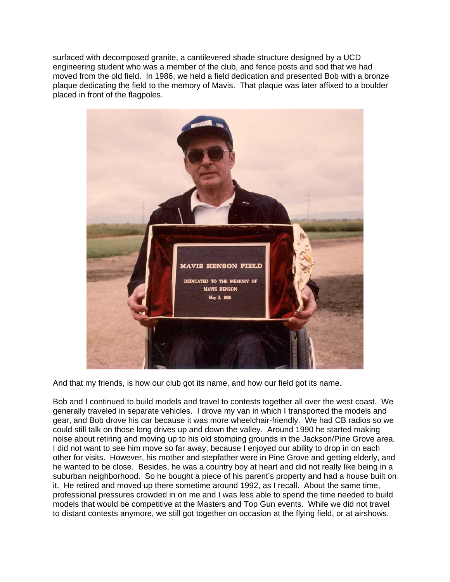surfaced with decomposed granite, a cantilevered shade structure designed by a UCD engineering student who was a member of the club, and fence posts and sod that we had moved from the old field. In 1986, we held a field dedication and presented Bob with a bronze plaque dedicating the field to the memory of Mavis. That plaque was later affixed to a boulder placed in front of the flagpoles.



And that my friends, is how our club got its name, and how our field got its name.

Bob and I continued to build models and travel to contests together all over the west coast. We generally traveled in separate vehicles. I drove my van in which I transported the models and gear, and Bob drove his car because it was more wheelchair-friendly. We had CB radios so we could still talk on those long drives up and down the valley. Around 1990 he started making noise about retiring and moving up to his old stomping grounds in the Jackson/Pine Grove area. I did not want to see him move so far away, because I enjoyed our ability to drop in on each other for visits. However, his mother and stepfather were in Pine Grove and getting elderly, and he wanted to be close. Besides, he was a country boy at heart and did not really like being in a suburban neighborhood. So he bought a piece of his parent's property and had a house built on it. He retired and moved up there sometime around 1992, as I recall. About the same time, professional pressures crowded in on me and I was less able to spend the time needed to build models that would be competitive at the Masters and Top Gun events. While we did not travel to distant contests anymore, we still got together on occasion at the flying field, or at airshows.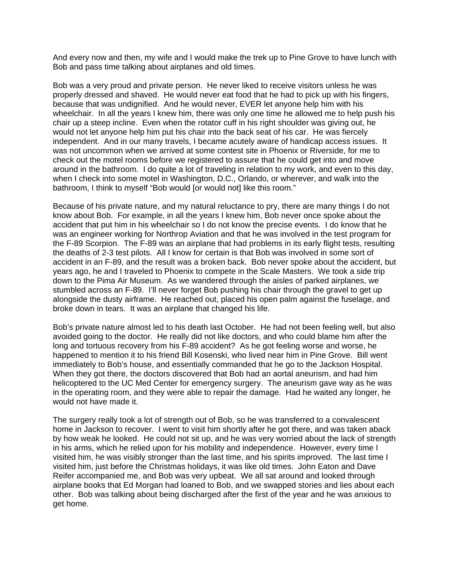And every now and then, my wife and I would make the trek up to Pine Grove to have lunch with Bob and pass time talking about airplanes and old times.

Bob was a very proud and private person. He never liked to receive visitors unless he was properly dressed and shaved. He would never eat food that he had to pick up with his fingers, because that was undignified. And he would never, EVER let anyone help him with his wheelchair. In all the years I knew him, there was only one time he allowed me to help push his chair up a steep incline. Even when the rotator cuff in his right shoulder was giving out, he would not let anyone help him put his chair into the back seat of his car. He was fiercely independent. And in our many travels, I became acutely aware of handicap access issues. It was not uncommon when we arrived at some contest site in Phoenix or Riverside, for me to check out the motel rooms before we registered to assure that he could get into and move around in the bathroom. I do quite a lot of traveling in relation to my work, and even to this day, when I check into some motel in Washington, D.C., Orlando, or wherever, and walk into the bathroom, I think to myself "Bob would [or would not] like this room."

Because of his private nature, and my natural reluctance to pry, there are many things I do not know about Bob. For example, in all the years I knew him, Bob never once spoke about the accident that put him in his wheelchair so I do not know the precise events. I do know that he was an engineer working for Northrop Aviation and that he was involved in the test program for the F-89 Scorpion. The F-89 was an airplane that had problems in its early flight tests, resulting the deaths of 2-3 test pilots. All I know for certain is that Bob was involved in some sort of accident in an F-89, and the result was a broken back. Bob never spoke about the accident, but years ago, he and I traveled to Phoenix to compete in the Scale Masters. We took a side trip down to the Pima Air Museum. As we wandered through the aisles of parked airplanes, we stumbled across an F-89. I'll never forget Bob pushing his chair through the gravel to get up alongside the dusty airframe. He reached out, placed his open palm against the fuselage, and broke down in tears. It was an airplane that changed his life.

Bob's private nature almost led to his death last October. He had not been feeling well, but also avoided going to the doctor. He really did not like doctors, and who could blame him after the long and tortuous recovery from his F-89 accident? As he got feeling worse and worse, he happened to mention it to his friend Bill Kosenski, who lived near him in Pine Grove. Bill went immediately to Bob's house, and essentially commanded that he go to the Jackson Hospital. When they got there, the doctors discovered that Bob had an aortal aneurism, and had him helicoptered to the UC Med Center for emergency surgery. The aneurism gave way as he was in the operating room, and they were able to repair the damage. Had he waited any longer, he would not have made it.

The surgery really took a lot of strength out of Bob, so he was transferred to a convalescent home in Jackson to recover. I went to visit him shortly after he got there, and was taken aback by how weak he looked. He could not sit up, and he was very worried about the lack of strength in his arms, which he relied upon for his mobility and independence. However, every time I visited him, he was visibly stronger than the last time, and his spirits improved. The last time I visited him, just before the Christmas holidays, it was like old times. John Eaton and Dave Reifer accompanied me, and Bob was very upbeat. We all sat around and looked through airplane books that Ed Morgan had loaned to Bob, and we swapped stories and lies about each other. Bob was talking about being discharged after the first of the year and he was anxious to get home.